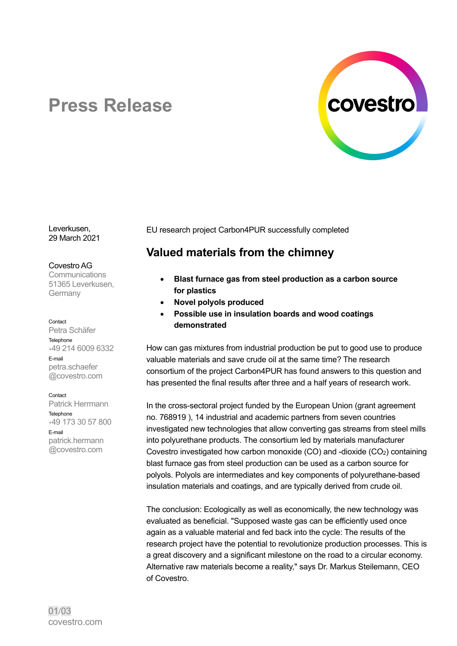

# **Press Release**

Leverkusen, 29 March 2021

#### Covestro AG

**Communications** 51365 Leverkusen, **Germany** 

#### Contact

Petra Schäfer **Telephone** +49 214 6009 6332 E-mail petra.schaefer @covestro.com

#### Contact

Patrick Herrmann Telephone +49 173 30 57 800 E-mail patrick.hermann @covestro.com

EU research project Carbon4PUR successfully completed

## **Valued materials from the chimney**

- **Blast furnace gas from steel production as a carbon source for plastics**
- **Novel polyols produced**
- **Possible use in insulation boards and wood coatings demonstrated**

How can gas mixtures from industrial production be put to good use to produce valuable materials and save crude oil at the same time? The research consortium of the project Carbon4PUR has found answers to this question and has presented the final results after three and a half years of research work.

In the cross-sectoral project funded by the European Union (grant agreement no. 768919 ), 14 industrial and academic partners from seven countries investigated new technologies that allow converting gas streams from steel mills into polyurethane products. The consortium led by materials manufacturer Covestro investigated how carbon monoxide (CO) and -dioxide (CO2) containing blast furnace gas from steel production can be used as a carbon source for polyols. Polyols are intermediates and key components of polyurethane-based insulation materials and coatings, and are typically derived from crude oil.

The conclusion: Ecologically as well as economically, the new technology was evaluated as beneficial. "Supposed waste gas can be efficiently used once again as a valuable material and fed back into the cycle: The results of the research project have the potential to revolutionize production processes. This is a great discovery and a significant milestone on the road to a circular economy. Alternative raw materials become a reality," says Dr. Markus Steilemann, CEO of Covestro.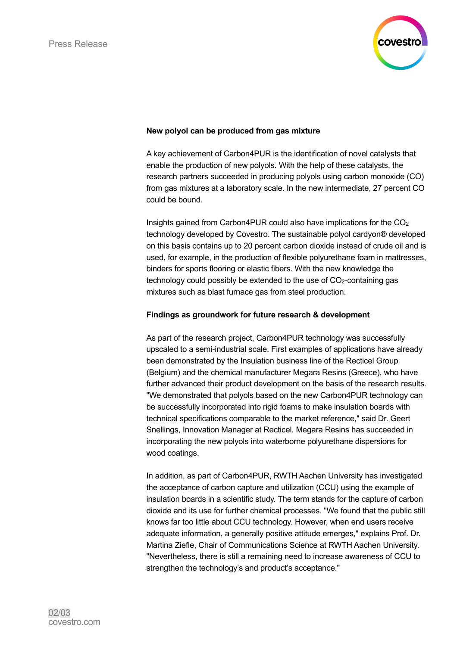

## **New polyol can be produced from gas mixture**

A key achievement of Carbon4PUR is the identification of novel catalysts that enable the production of new polyols. With the help of these catalysts, the research partners succeeded in producing polyols using carbon monoxide (CO) from gas mixtures at a laboratory scale. In the new intermediate, 27 percent CO could be bound.

Insights gained from Carbon4PUR could also have implications for the  $CO<sub>2</sub>$ technology developed by Covestro. The sustainable polyol cardyon® developed on this basis contains up to 20 percent carbon dioxide instead of crude oil and is used, for example, in the production of flexible polyurethane foam in mattresses, binders for sports flooring or elastic fibers. With the new knowledge the technology could possibly be extended to the use of CO2-containing gas mixtures such as blast furnace gas from steel production.

## **Findings as groundwork for future research & development**

As part of the research project, Carbon4PUR technology was successfully upscaled to a semi-industrial scale. First examples of applications have already been demonstrated by the Insulation business line of the Recticel Group (Belgium) and the chemical manufacturer Megara Resins (Greece), who have further advanced their product development on the basis of the research results. "We demonstrated that polyols based on the new Carbon4PUR technology can be successfully incorporated into rigid foams to make insulation boards with technical specifications comparable to the market reference," said Dr. Geert Snellings, Innovation Manager at Recticel. Megara Resins has succeeded in incorporating the new polyols into waterborne polyurethane dispersions for wood coatings.

In addition, as part of Carbon4PUR, RWTH Aachen University has investigated the acceptance of carbon capture and utilization (CCU) using the example of insulation boards in a scientific study. The term stands for the capture of carbon dioxide and its use for further chemical processes. "We found that the public still knows far too little about CCU technology. However, when end users receive adequate information, a generally positive attitude emerges," explains Prof. Dr. Martina Ziefle, Chair of Communications Science at RWTH Aachen University. "Nevertheless, there is still a remaining need to increase awareness of CCU to strengthen the technology's and product's acceptance."